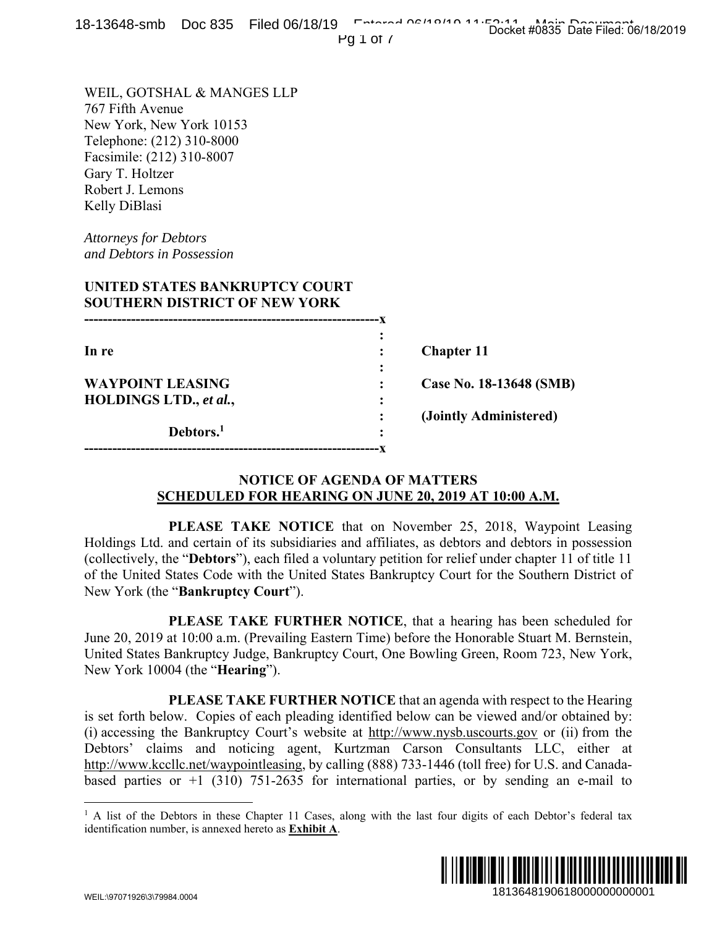Pg 1 of 7

WEIL, GOTSHAL & MANGES LLP 767 Fifth Avenue New York, New York 10153 Telephone: (212) 310-8000 Facsimile: (212) 310-8007 Gary T. Holtzer Robert J. Lemons Kelly DiBlasi

*Attorneys for Debtors and Debtors in Possession* 

# **UNITED STATES BANKRUPTCY COURT SOUTHERN DISTRICT OF NEW YORK**

| In re                   |   | <b>Chapter 11</b>       |
|-------------------------|---|-------------------------|
|                         | ٠ |                         |
| <b>WAYPOINT LEASING</b> |   | Case No. 18-13648 (SMB) |
| HOLDINGS LTD., et al.,  | ٠ |                         |
|                         |   | (Jointly Administered)  |
| Debtors. <sup>1</sup>   | ٠ |                         |
|                         |   |                         |

#### **NOTICE OF AGENDA OF MATTERS SCHEDULED FOR HEARING ON JUNE 20, 2019 AT 10:00 A.M.**

 **PLEASE TAKE NOTICE** that on November 25, 2018, Waypoint Leasing Holdings Ltd. and certain of its subsidiaries and affiliates, as debtors and debtors in possession (collectively, the "**Debtors**"), each filed a voluntary petition for relief under chapter 11 of title 11 of the United States Code with the United States Bankruptcy Court for the Southern District of New York (the "**Bankruptcy Court**").

 **PLEASE TAKE FURTHER NOTICE**, that a hearing has been scheduled for June 20, 2019 at 10:00 a.m. (Prevailing Eastern Time) before the Honorable Stuart M. Bernstein, United States Bankruptcy Judge, Bankruptcy Court, One Bowling Green, Room 723, New York, New York 10004 (the "**Hearing**").

 **PLEASE TAKE FURTHER NOTICE** that an agenda with respect to the Hearing is set forth below. Copies of each pleading identified below can be viewed and/or obtained by: (i) accessing the Bankruptcy Court's website at http://www.nysb.uscourts.gov or (ii) from the Debtors' claims and noticing agent, Kurtzman Carson Consultants LLC, either at http://www.kccllc.net/waypointleasing, by calling (888) 733-1446 (toll free) for U.S. and Canadabased parties or  $+1$  (310) 751-2635 for international parties, or by sending an e-mail to **1913648 (SMB)**<br> **1913648 (SMB)**<br> **1913648 (SMB)**<br> **ministered)**<br> **1018**, Waypoint Leasing<br>
and debtors in possession<br>
and debtors in possession<br>
and debtor II of title 11<br> **11**<br> **12186481900011**<br> **12186481900618000000000** 

<sup>&</sup>lt;sup>1</sup> A list of the Debtors in these Chapter 11 Cases, along with the last four digits of each Debtor's federal tax identification number, is annexed hereto as **Exhibit A**.



 $\overline{a}$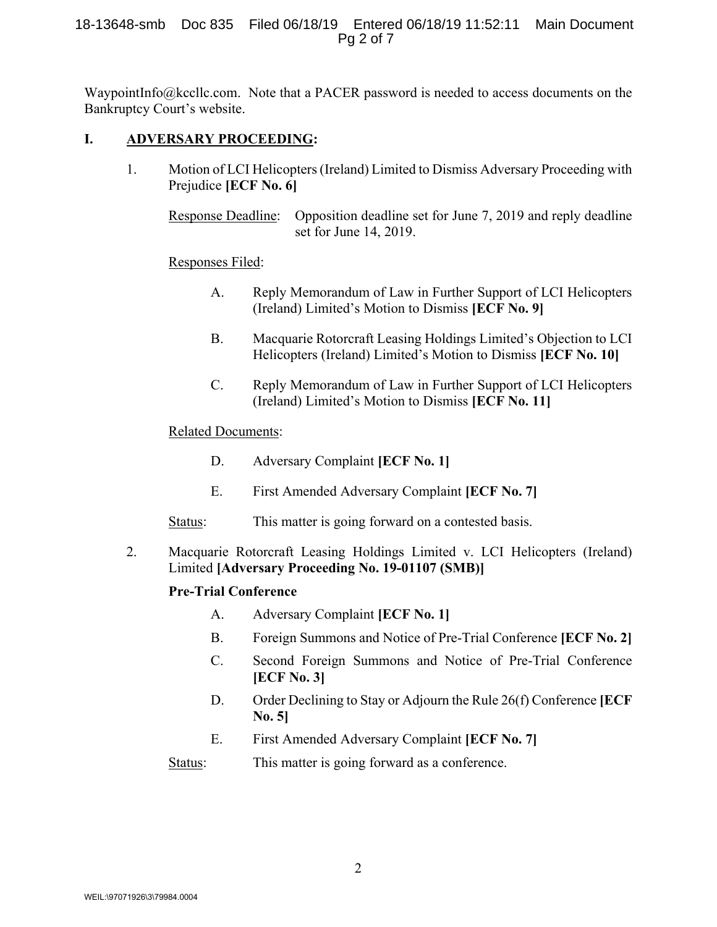#### 18-13648-smb Doc 835 Filed 06/18/19 Entered 06/18/19 11:52:11 Main Document Pg 2 of 7

WaypointInfo@kccllc.com. Note that a PACER password is needed to access documents on the Bankruptcy Court's website.

## **I. ADVERSARY PROCEEDING:**

1. Motion of LCI Helicopters (Ireland) Limited to Dismiss Adversary Proceeding with Prejudice **[ECF No. 6]** 

Response Deadline: Opposition deadline set for June 7, 2019 and reply deadline set for June 14, 2019.

#### Responses Filed:

- A. Reply Memorandum of Law in Further Support of LCI Helicopters (Ireland) Limited's Motion to Dismiss **[ECF No. 9]**
- B. Macquarie Rotorcraft Leasing Holdings Limited's Objection to LCI Helicopters (Ireland) Limited's Motion to Dismiss **[ECF No. 10]**
- C. Reply Memorandum of Law in Further Support of LCI Helicopters (Ireland) Limited's Motion to Dismiss **[ECF No. 11]**

# Related Documents:

- D. Adversary Complaint **[ECF No. 1]**
- E. First Amended Adversary Complaint **[ECF No. 7]**
- Status: This matter is going forward on a contested basis.
- 2. Macquarie Rotorcraft Leasing Holdings Limited v. LCI Helicopters (Ireland) Limited **[Adversary Proceeding No. 19-01107 (SMB)]**

#### **Pre-Trial Conference**

- A. Adversary Complaint **[ECF No. 1]**
- B. Foreign Summons and Notice of Pre-Trial Conference **[ECF No. 2]**
- C. Second Foreign Summons and Notice of Pre-Trial Conference **[ECF No. 3]**
- D. Order Declining to Stay or Adjourn the Rule 26(f) Conference **[ECF No. 5]**
- E. First Amended Adversary Complaint **[ECF No. 7]**

Status: This matter is going forward as a conference.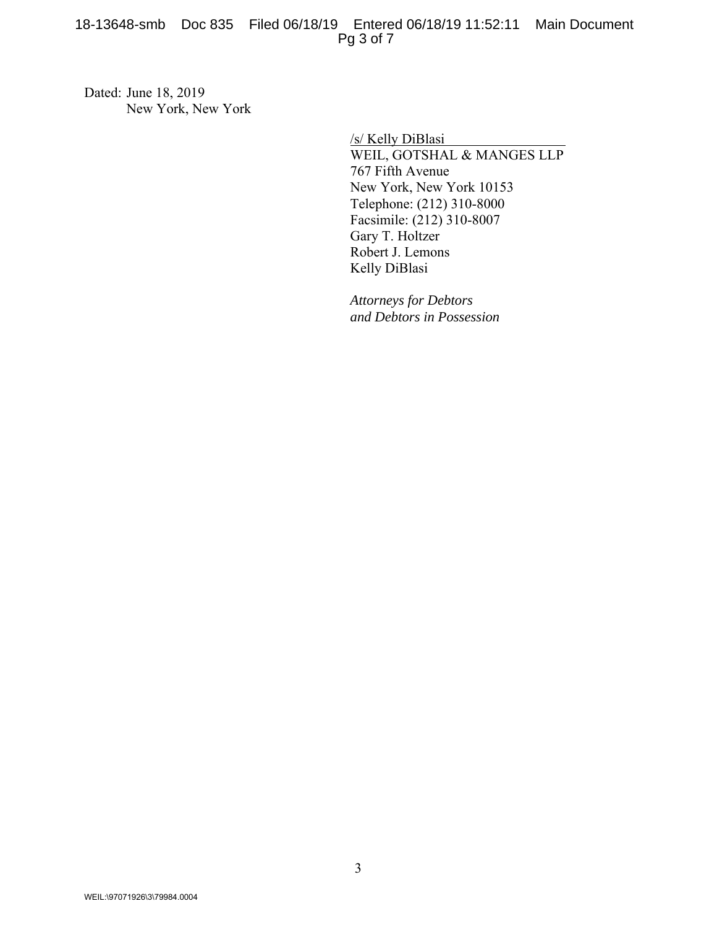Dated: June 18, 2019 New York, New York

> /s/ Kelly DiBlasi WEIL, GOTSHAL & MANGES LLP 767 Fifth Avenue New York, New York 10153 Telephone: (212) 310-8000 Facsimile: (212) 310-8007 Gary T. Holtzer Robert J. Lemons Kelly DiBlasi

*Attorneys for Debtors and Debtors in Possession*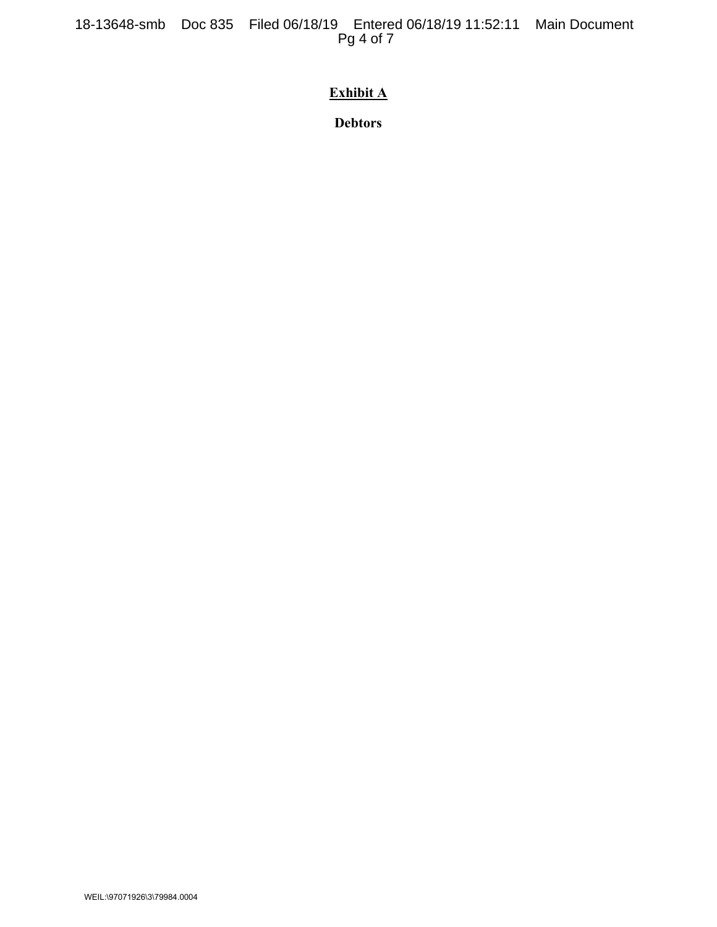# **Exhibit A**

**Debtors**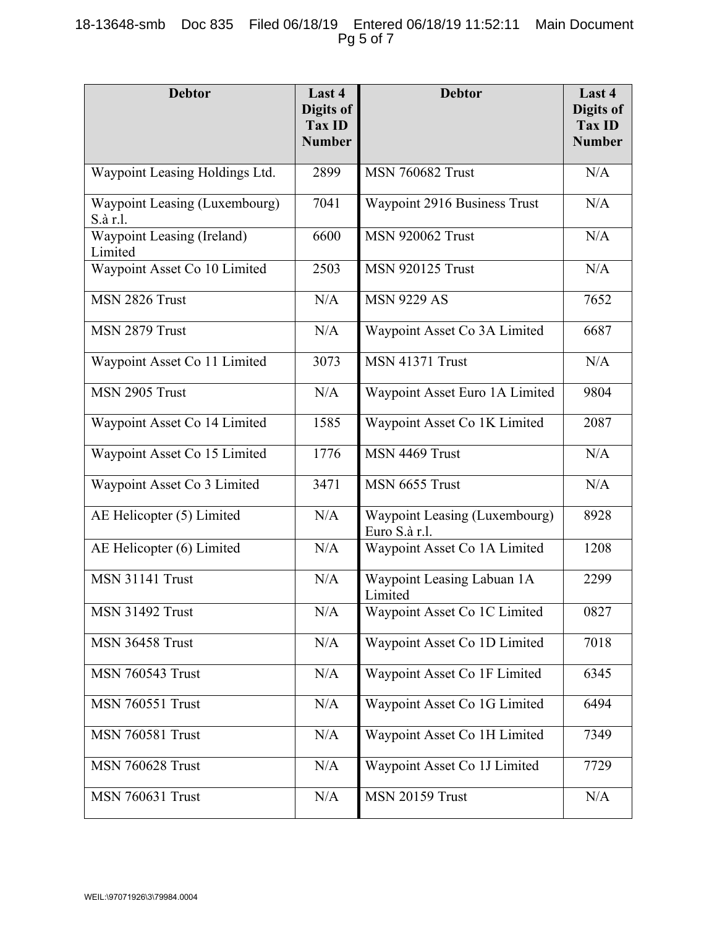# 18-13648-smb Doc 835 Filed 06/18/19 Entered 06/18/19 11:52:11 Main Document Pg 5 of 7

| <b>Debtor</b>                             | Last 4<br>Digits of<br><b>Tax ID</b><br><b>Number</b> | <b>Debtor</b>                                  | Last 4<br>Digits of<br><b>Tax ID</b><br><b>Number</b> |
|-------------------------------------------|-------------------------------------------------------|------------------------------------------------|-------------------------------------------------------|
| Waypoint Leasing Holdings Ltd.            | 2899                                                  | <b>MSN 760682 Trust</b>                        | N/A                                                   |
| Waypoint Leasing (Luxembourg)<br>S.à r.l. | 7041                                                  | Waypoint 2916 Business Trust                   | N/A                                                   |
| Waypoint Leasing (Ireland)<br>Limited     | 6600                                                  | <b>MSN 920062 Trust</b>                        | N/A                                                   |
| Waypoint Asset Co 10 Limited              | 2503                                                  | <b>MSN 920125 Trust</b>                        | N/A                                                   |
| MSN 2826 Trust                            | N/A                                                   | <b>MSN 9229 AS</b>                             | 7652                                                  |
| MSN 2879 Trust                            | N/A                                                   | Waypoint Asset Co 3A Limited                   | 6687                                                  |
| Waypoint Asset Co 11 Limited              | 3073                                                  | <b>MSN 41371 Trust</b>                         | N/A                                                   |
| MSN 2905 Trust                            | N/A                                                   | Waypoint Asset Euro 1A Limited                 | 9804                                                  |
| Waypoint Asset Co 14 Limited              | 1585                                                  | Waypoint Asset Co 1K Limited                   | 2087                                                  |
| Waypoint Asset Co 15 Limited              | 1776                                                  | MSN 4469 Trust                                 | N/A                                                   |
| Waypoint Asset Co 3 Limited               | 3471                                                  | MSN 6655 Trust                                 | N/A                                                   |
| AE Helicopter (5) Limited                 | N/A                                                   | Waypoint Leasing (Luxembourg)<br>Euro S.à r.l. | 8928                                                  |
| AE Helicopter (6) Limited                 | N/A                                                   | Waypoint Asset Co 1A Limited                   | 1208                                                  |
| <b>MSN 31141 Trust</b>                    | N/A                                                   | Waypoint Leasing Labuan 1A<br>Limited          | 2299                                                  |
| <b>MSN 31492 Trust</b>                    | N/A                                                   | Waypoint Asset Co 1C Limited                   | 0827                                                  |
| <b>MSN 36458 Trust</b>                    | N/A                                                   | Waypoint Asset Co 1D Limited                   | 7018                                                  |
| <b>MSN 760543 Trust</b>                   | N/A                                                   | Waypoint Asset Co 1F Limited                   | 6345                                                  |
| <b>MSN 760551 Trust</b>                   | N/A                                                   | Waypoint Asset Co 1G Limited                   | 6494                                                  |
| <b>MSN 760581 Trust</b>                   | N/A                                                   | Waypoint Asset Co 1H Limited                   | 7349                                                  |
| <b>MSN 760628 Trust</b>                   | N/A                                                   | Waypoint Asset Co 1J Limited                   | 7729                                                  |
| <b>MSN 760631 Trust</b>                   | N/A                                                   | <b>MSN 20159 Trust</b>                         | N/A                                                   |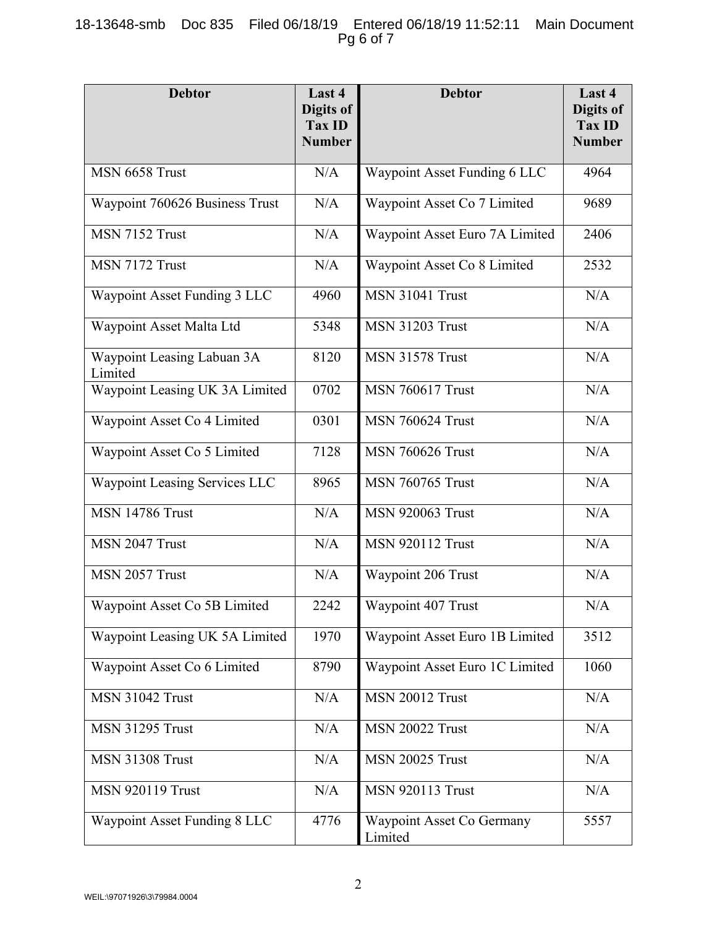# 18-13648-smb Doc 835 Filed 06/18/19 Entered 06/18/19 11:52:11 Main Document Pg 6 of 7

| <b>Debtor</b>                         | Last 4<br>Digits of<br>Tax ID<br><b>Number</b> | <b>Debtor</b>                        | Last 4<br>Digits of<br><b>Tax ID</b><br><b>Number</b> |
|---------------------------------------|------------------------------------------------|--------------------------------------|-------------------------------------------------------|
| MSN 6658 Trust                        | N/A                                            | <b>Waypoint Asset Funding 6 LLC</b>  | 4964                                                  |
| Waypoint 760626 Business Trust        | N/A                                            | Waypoint Asset Co 7 Limited          | 9689                                                  |
| MSN 7152 Trust                        | N/A                                            | Waypoint Asset Euro 7A Limited       | 2406                                                  |
| MSN 7172 Trust                        | N/A                                            | Waypoint Asset Co 8 Limited          | 2532                                                  |
| Waypoint Asset Funding 3 LLC          | 4960                                           | <b>MSN 31041 Trust</b>               | N/A                                                   |
| Waypoint Asset Malta Ltd              | 5348                                           | <b>MSN 31203 Trust</b>               | N/A                                                   |
| Waypoint Leasing Labuan 3A<br>Limited | 8120                                           | <b>MSN 31578 Trust</b>               | N/A                                                   |
| Waypoint Leasing UK 3A Limited        | 0702                                           | <b>MSN 760617 Trust</b>              | N/A                                                   |
| Waypoint Asset Co 4 Limited           | 0301                                           | <b>MSN 760624 Trust</b>              | N/A                                                   |
| Waypoint Asset Co 5 Limited           | 7128                                           | <b>MSN 760626 Trust</b>              | N/A                                                   |
| Waypoint Leasing Services LLC         | 8965                                           | <b>MSN 760765 Trust</b>              | N/A                                                   |
| <b>MSN 14786 Trust</b>                | N/A                                            | <b>MSN 920063 Trust</b>              | N/A                                                   |
| MSN 2047 Trust                        | N/A                                            | <b>MSN 920112 Trust</b>              | N/A                                                   |
| MSN 2057 Trust                        | N/A                                            | Waypoint 206 Trust                   | N/A                                                   |
| Waypoint Asset Co 5B Limited          | 2242                                           | Waypoint 407 Trust                   | N/A                                                   |
| Waypoint Leasing UK 5A Limited        | 1970                                           | Waypoint Asset Euro 1B Limited       | 3512                                                  |
| Waypoint Asset Co 6 Limited           | 8790                                           | Waypoint Asset Euro 1C Limited       | 1060                                                  |
| <b>MSN 31042 Trust</b>                | N/A                                            | MSN 20012 Trust                      | N/A                                                   |
| <b>MSN 31295 Trust</b>                | N/A                                            | <b>MSN 20022 Trust</b>               | N/A                                                   |
| <b>MSN 31308 Trust</b>                | N/A                                            | <b>MSN 20025 Trust</b>               | N/A                                                   |
| <b>MSN 920119 Trust</b>               | N/A                                            | <b>MSN 920113 Trust</b>              | N/A                                                   |
| Waypoint Asset Funding 8 LLC          | 4776                                           | Waypoint Asset Co Germany<br>Limited | 5557                                                  |